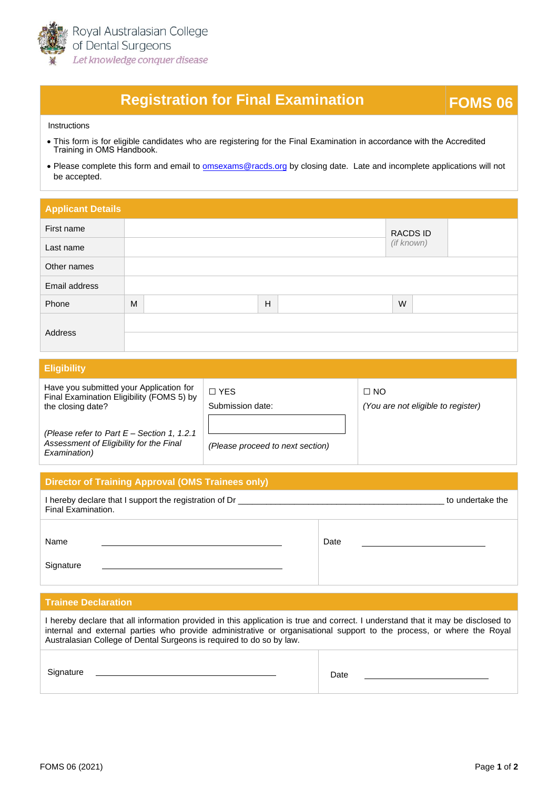

# **Registration for Final Examination <b>FOMS 06**

#### Instructions

- [This form is for eligible candidates who are registering for the Final Examination](https://racds.org/accredited-training-in-oms-handbook/) in accordance with the Accredited Training in OMS Handbook.
- Please complete this form and email to **[omsexams@racds.org](mailto:omsexams@racds.org)** by closing date. Late and incomplete applications will not be accepted.

| <b>Applicant Details</b> |   |  |              |  |                               |  |  |
|--------------------------|---|--|--------------|--|-------------------------------|--|--|
| First name               |   |  |              |  | <b>RACDS ID</b><br>(if known) |  |  |
| Last name                |   |  |              |  |                               |  |  |
| Other names              |   |  |              |  |                               |  |  |
| Email address            |   |  |              |  |                               |  |  |
| Phone                    | M |  | $\mathsf{H}$ |  | W                             |  |  |
| Address                  |   |  |              |  |                               |  |  |
|                          |   |  |              |  |                               |  |  |

#### **Eligibility**

Have you submitted your Application for Final Examination Eligibility (FOMS 5) by the closing date?

□ YES Submission date:

### □ NO *(You are not eligible to register)*

*(Please refer to Part E – Section 1, 1.2.1 Assessment of Eligibility for the Final Examination)*

*(Please proceed to next section)*

### **Director of Training Approval (OMS Trainees only)**

| I hereby declare that I support the registration of Dr<br>Final Examination. | to undertake the |  |
|------------------------------------------------------------------------------|------------------|--|
| Name                                                                         | Date             |  |
| Signature                                                                    |                  |  |

#### **Trainee Declaration**

| I hereby declare that all information provided in this application is true and correct. I understand that it may be disclosed to<br>internal and external parties who provide administrative or organisational support to the process, or where the Royal<br>Australasian College of Dental Surgeons is required to do so by law. |      |  |  |  |
|-----------------------------------------------------------------------------------------------------------------------------------------------------------------------------------------------------------------------------------------------------------------------------------------------------------------------------------|------|--|--|--|
| Signature                                                                                                                                                                                                                                                                                                                         | Date |  |  |  |